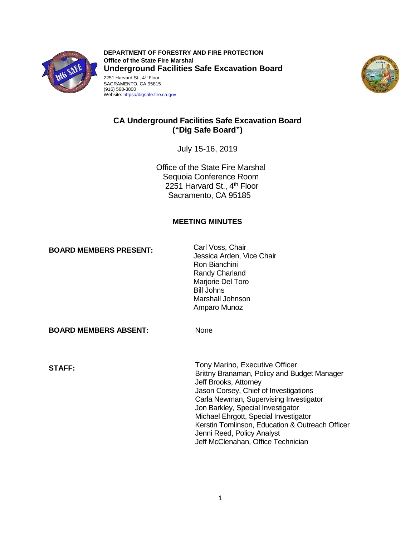

2251 Harvard St., 4<sup>th</sup> Floor SACRAMENTO, CA 95815 **DEPARTMENT OF FORESTRY AND FIRE PROTECTION Office of the State Fire Marshal Underground Facilities Safe Excavation Board** 





# **CA Underground Facilities Safe Excavation Board ("Dig Safe Board")**

July 15-16, 2019

Office of the State Fire Marshal Sequoia Conference Room 2251 Harvard St., 4<sup>th</sup> Floor Sacramento, CA 95185

# **MEETING MINUTES**

**BOARD MEMBERS PRESENT:** Carl Voss, Chair

Jessica Arden, Vice Chair Ron Bianchini Randy Charland Marjorie Del Toro Bill Johns Marshall Johnson Amparo Munoz

**BOARD MEMBERS ABSENT:** None

Tony Marino, Executive Officer **STAFF:** Brittny Branaman, Policy and Budget Manager Jeff Brooks, Attorney Jason Corsey, Chief of Investigations Carla Newman, Supervising Investigator Jon Barkley, Special Investigator Michael Ehrgott, Special Investigator Kerstin Tomlinson, Education & Outreach Officer Jenni Reed, Policy Analyst Jeff McClenahan, Office Technician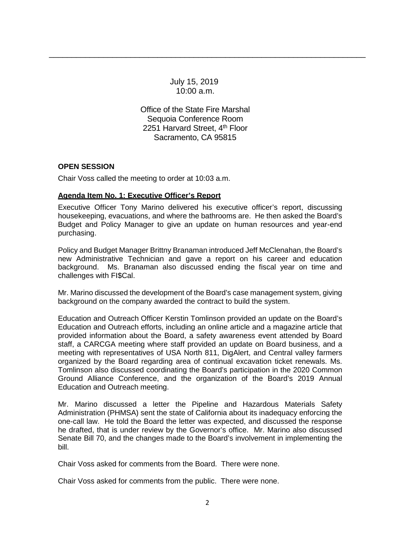July 15, 2019 10:00 a.m.

\_\_\_\_\_\_\_\_\_\_\_\_\_\_\_\_\_\_\_\_\_\_\_\_\_\_\_\_\_\_\_\_\_\_\_\_\_\_\_\_\_\_\_\_\_\_\_\_\_\_\_\_\_\_\_\_\_\_\_\_\_\_\_\_\_\_\_\_\_\_

2251 Harvard Street, 4<sup>th</sup> Floor Office of the State Fire Marshal Sequoia Conference Room Sacramento, CA 95815

# **OPEN SESSION**

Chair Voss called the meeting to order at 10:03 a.m.

# **Agenda Item No. 1: Executive Officer's Report**

Executive Officer Tony Marino delivered his executive officer's report, discussing housekeeping, evacuations, and where the bathrooms are. He then asked the Board's Budget and Policy Manager to give an update on human resources and year-end purchasing.

 new Administrative Technician and gave a report on his career and education background. Ms. Branaman also discussed ending the fiscal year on time and Policy and Budget Manager Brittny Branaman introduced Jeff McClenahan, the Board's challenges with FI\$Cal.

Mr. Marino discussed the development of the Board's case management system, giving background on the company awarded the contract to build the system.

 Education and Outreach efforts, including an online article and a magazine article that staff, a CARCGA meeting where staff provided an update on Board business, and a meeting with representatives of USA North 811, DigAlert, and Central valley farmers Ground Alliance Conference, and the organization of the Board's 2019 Annual Education and Outreach Officer Kerstin Tomlinson provided an update on the Board's provided information about the Board, a safety awareness event attended by Board organized by the Board regarding area of continual excavation ticket renewals. Ms. Tomlinson also discussed coordinating the Board's participation in the 2020 Common Education and Outreach meeting.

 Mr. Marino discussed a letter the Pipeline and Hazardous Materials Safety Administration (PHMSA) sent the state of California about its inadequacy enforcing the Senate Bill 70, and the changes made to the Board's involvement in implementing the one-call law. He told the Board the letter was expected, and discussed the response he drafted, that is under review by the Governor's office. Mr. Marino also discussed bill.

Chair Voss asked for comments from the Board. There were none.

Chair Voss asked for comments from the public. There were none.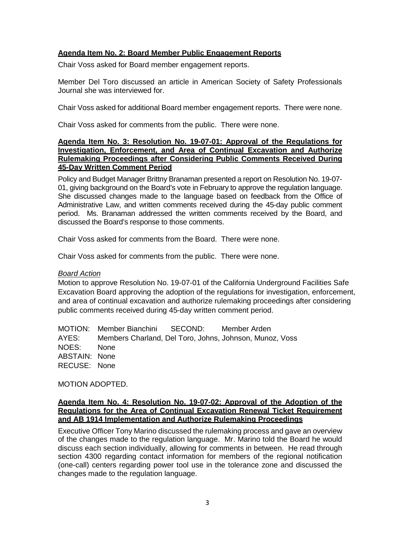# **Agenda Item No. 2: Board Member Public Engagement Reports**

Chair Voss asked for Board member engagement reports.

Member Del Toro discussed an article in American Society of Safety Professionals Journal she was interviewed for.

Chair Voss asked for additional Board member engagement reports. There were none.

Chair Voss asked for comments from the public. There were none.

#### **Agenda Item No. 3: Resolution No. 19-07-01: Approval of the Regulations for Rulemaking Proceedings after Considering Public Comments Received During Investigation, Enforcement, and Area of Continual Excavation and Authorize 45-Day Written Comment Period**

01, giving background on the Board's vote in February to approve the regulation language. 01, giving background on the Board's vote in February to approve the regulation language.<br>She discussed changes made to the language based on feedback from the Office of period. Ms. Branaman addressed the written comments received by the Board, and Policy and Budget Manager Brittny Branaman presented a report on Resolution No. 19-07- Administrative Law, and written comments received during the 45-day public comment discussed the Board's response to those comments.

Chair Voss asked for comments from the Board. There were none.

Chair Voss asked for comments from the public. There were none.

#### *Board Action*

 Motion to approve Resolution No. 19-07-01 of the California Underground Facilities Safe Excavation Board approving the adoption of the regulations for investigation, enforcement, and area of continual excavation and authorize rulemaking proceedings after considering public comments received during 45-day written comment period.

SECOND: NOES: None ABSTAIN: None RECUSE: None MOTION: Member Bianchini SECOND: Member Arden AYES: Members Charland, Del Toro, Johns, Johnson, Munoz, Voss

MOTION ADOPTED.

#### **Regulations for the Area of Continual Excavation Renewal Ticket Requirement Agenda Item No. 4: Resolution No. 19-07-02: Approval of the Adoption of the and AB 1914 Implementation and Authorize Rulemaking Proceedings**

 (one-call) centers regarding power tool use in the tolerance zone and discussed the Executive Officer Tony Marino discussed the rulemaking process and gave an overview of the changes made to the regulation language. Mr. Marino told the Board he would discuss each section individually, allowing for comments in between. He read through section 4300 regarding contact information for members of the regional notification changes made to the regulation language.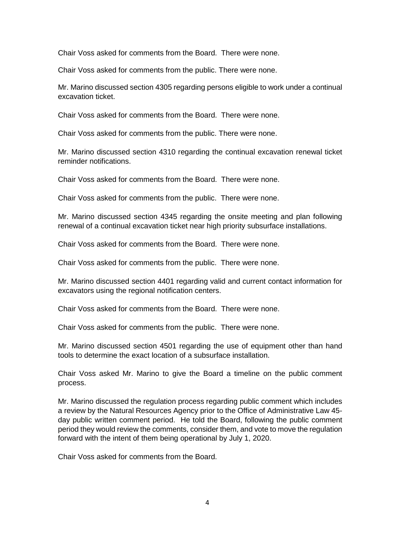Chair Voss asked for comments from the Board. There were none.

Chair Voss asked for comments from the public. There were none.

Mr. Marino discussed section 4305 regarding persons eligible to work under a continual excavation ticket.

Chair Voss asked for comments from the Board. There were none.

Chair Voss asked for comments from the public. There were none.

 Mr. Marino discussed section 4310 regarding the continual excavation renewal ticket reminder notifications.

Chair Voss asked for comments from the Board. There were none.

Chair Voss asked for comments from the public. There were none.

Mr. Marino discussed section 4345 regarding the onsite meeting and plan following renewal of a continual excavation ticket near high priority subsurface installations.

Chair Voss asked for comments from the Board. There were none.

Chair Voss asked for comments from the public. There were none.

Mr. Marino discussed section 4401 regarding valid and current contact information for excavators using the regional notification centers.

Chair Voss asked for comments from the Board. There were none.

Chair Voss asked for comments from the public. There were none.

 Mr. Marino discussed section 4501 regarding the use of equipment other than hand tools to determine the exact location of a subsurface installation.

 Chair Voss asked Mr. Marino to give the Board a timeline on the public comment process.

 day public written comment period. He told the Board, following the public comment period they would review the comments, consider them, and vote to move the regulation Mr. Marino discussed the regulation process regarding public comment which includes a review by the Natural Resources Agency prior to the Office of Administrative Law 45 forward with the intent of them being operational by July 1, 2020.

Chair Voss asked for comments from the Board.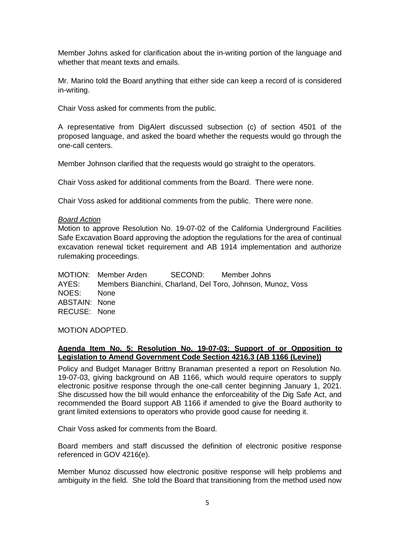Member Johns asked for clarification about the in-writing portion of the language and whether that meant texts and emails.

 Mr. Marino told the Board anything that either side can keep a record of is considered in-writing.

Chair Voss asked for comments from the public.

A representative from DigAlert discussed subsection (c) of section 4501 of the proposed language, and asked the board whether the requests would go through the one-call centers.

Member Johnson clarified that the requests would go straight to the operators.

Chair Voss asked for additional comments from the Board. There were none.

Chair Voss asked for additional comments from the public. There were none.

#### *Board Action*

 Safe Excavation Board approving the adoption the regulations for the area of continual Motion to approve Resolution No. 19-07-02 of the California Underground Facilities excavation renewal ticket requirement and AB 1914 implementation and authorize rulemaking proceedings.

SECOND<sup>.</sup> AYES: Members Bianchini, Charland, Del Toro, Johnson, Munoz, Voss NOES: None ABSTAIN: None RECUSE: None MOTION: Member Arden SECOND: Member Johns

MOTION ADOPTED.

#### **Agenda Item No. 5: Resolution No. 19-07-03: Support of or Opposition to Legislation to Amend Government Code Section 4216.3 (AB 1166 (Levine))**

 Policy and Budget Manager Brittny Branaman presented a report on Resolution No. 19-07-03, giving background on AB 1166, which would require operators to supply electronic positive response through the one-call center beginning January 1, 2021. electronic positive response through the one-call center beginning January 1, 2021.<br>She discussed how the bill would enhance the enforceability of the Dig Safe Act, and recommended the Board support AB 1166 if amended to give the Board authority to grant limited extensions to operators who provide good cause for needing it.

Chair Voss asked for comments from the Board.

Board members and staff discussed the definition of electronic positive response referenced in GOV 4216(e).

 ambiguity in the field. She told the Board that transitioning from the method used now Member Munoz discussed how electronic positive response will help problems and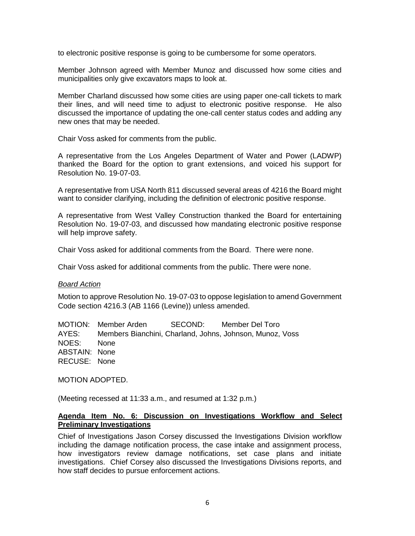to electronic positive response is going to be cumbersome for some operators.

Member Johnson agreed with Member Munoz and discussed how some cities and municipalities only give excavators maps to look at.

 Member Charland discussed how some cities are using paper one-call tickets to mark their lines, and will need time to adjust to electronic positive response. He also discussed the importance of updating the one-call center status codes and adding any new ones that may be needed.

Chair Voss asked for comments from the public.

 A representative from the Los Angeles Department of Water and Power (LADWP) thanked the Board for the option to grant extensions, and voiced his support for Resolution No. 19-07-03.

 A representative from USA North 811 discussed several areas of 4216 the Board might want to consider clarifying, including the definition of electronic positive response.

A representative from West Valley Construction thanked the Board for entertaining Resolution No. 19-07-03, and discussed how mandating electronic positive response will help improve safety.

Chair Voss asked for additional comments from the Board. There were none.

Chair Voss asked for additional comments from the public. There were none.

#### *Board Action*

 Motion to approve Resolution No. 19-07-03 to oppose legislation to amend Government Code section 4216.3 (AB 1166 (Levine)) unless amended.

SECOND: AYES: Members Bianchini, Charland, Johns, Johnson, Munoz, Voss NOES: None ABSTAIN: None RECUSE: None MOTION: Member Arden SECOND: Member Del Toro

MOTION ADOPTED.

(Meeting recessed at 11:33 a.m., and resumed at 1:32 p.m.)

#### **Agenda Item No. 6: Discussion on Investigations Workflow and Select Preliminary Investigations**

 Chief of Investigations Jason Corsey discussed the Investigations Division workflow including the damage notification process, the case intake and assignment process, how investigators review damage notifications, set case plans and initiate investigations. Chief Corsey also discussed the Investigations Divisions reports, and how staff decides to pursue enforcement actions.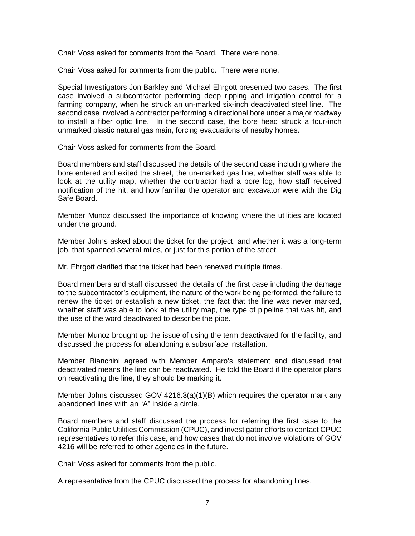Chair Voss asked for comments from the Board. There were none.

Chair Voss asked for comments from the public. There were none.

 Special Investigators Jon Barkley and Michael Ehrgott presented two cases. The first case involved a subcontractor performing deep ripping and irrigation control for a farming company, when he struck an un-marked six-inch deactivated steel line. The second case involved a contractor performing a directional bore under a major roadway to install a fiber optic line. In the second case, the bore head struck a four-inch unmarked plastic natural gas main, forcing evacuations of nearby homes.

Chair Voss asked for comments from the Board.

Board members and staff discussed the details of the second case including where the bore entered and exited the street, the un-marked gas line, whether staff was able to look at the utility map, whether the contractor had a bore log, how staff received notification of the hit, and how familiar the operator and excavator were with the Dig Safe Board.

 Member Munoz discussed the importance of knowing where the utilities are located under the ground.

 Member Johns asked about the ticket for the project, and whether it was a long-term job, that spanned several miles, or just for this portion of the street.

Mr. Ehrgott clarified that the ticket had been renewed multiple times.

Board members and staff discussed the details of the first case including the damage to the subcontractor's equipment, the nature of the work being performed, the failure to renew the ticket or establish a new ticket, the fact that the line was never marked, whether staff was able to look at the utility map, the type of pipeline that was hit, and the use of the word deactivated to describe the pipe.

 Member Munoz brought up the issue of using the term deactivated for the facility, and discussed the process for abandoning a subsurface installation.

 deactivated means the line can be reactivated. He told the Board if the operator plans Member Bianchini agreed with Member Amparo's statement and discussed that on reactivating the line, they should be marking it.

Member Johns discussed GOV 4216.3(a)(1)(B) which requires the operator mark any abandoned lines with an "A" inside a circle.

 Board members and staff discussed the process for referring the first case to the California Public Utilities Commission (CPUC), and investigator efforts to contact CPUC 4216 will be referred to other agencies in the future. representatives to refer this case, and how cases that do not involve violations of GOV

Chair Voss asked for comments from the public.

A representative from the CPUC discussed the process for abandoning lines.